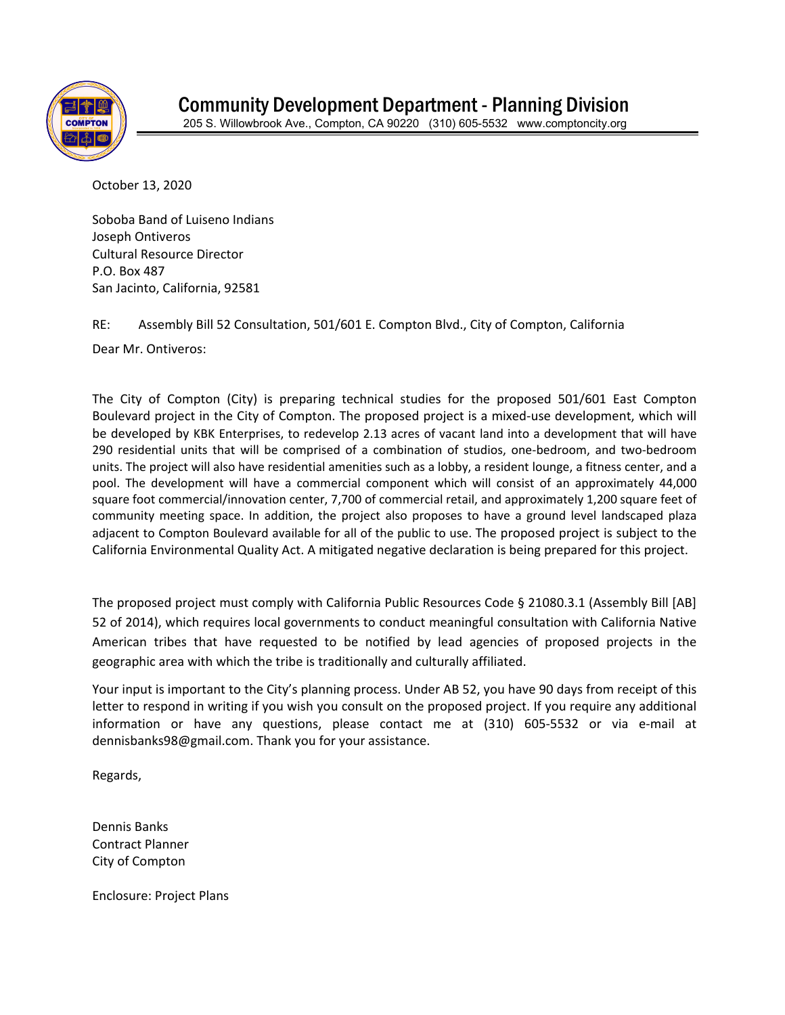

October 13, 2020

Soboba Band of Luiseno Indians Joseph Ontiveros Cultural Resource Director P.O. Box 487 San Jacinto, California, 92581

RE: Assembly Bill 52 Consultation, 501/601 E. Compton Blvd., City of Compton, California

Dear Mr. Ontiveros:

The City of Compton (City) is preparing technical studies for the proposed 501/601 East Compton Boulevard project in the City of Compton. The proposed project is a mixed-use development, which will be developed by KBK Enterprises, to redevelop 2.13 acres of vacant land into a development that will have 290 residential units that will be comprised of a combination of studios, one-bedroom, and two-bedroom units. The project will also have residential amenities such as a lobby, a resident lounge, a fitness center, and a pool. The development will have a commercial component which will consist of an approximately 44,000 square foot commercial/innovation center, 7,700 of commercial retail, and approximately 1,200 square feet of community meeting space. In addition, the project also proposes to have a ground level landscaped plaza adjacent to Compton Boulevard available for all of the public to use. The proposed project is subject to the California Environmental Quality Act. A mitigated negative declaration is being prepared for this project.

The proposed project must comply with California Public Resources Code § 21080.3.1 (Assembly Bill [AB] 52 of 2014), which requires local governments to conduct meaningful consultation with California Native American tribes that have requested to be notified by lead agencies of proposed projects in the geographic area with which the tribe is traditionally and culturally affiliated.

Your input is important to the City's planning process. Under AB 52, you have 90 days from receipt of this letter to respond in writing if you wish you consult on the proposed project. If you require any additional information or have any questions, please contact me at (310) 605-5532 or via e-mail at dennisbanks98@gmail.com. Thank you for your assistance.

Regards,

Dennis Banks Contract Planner City of Compton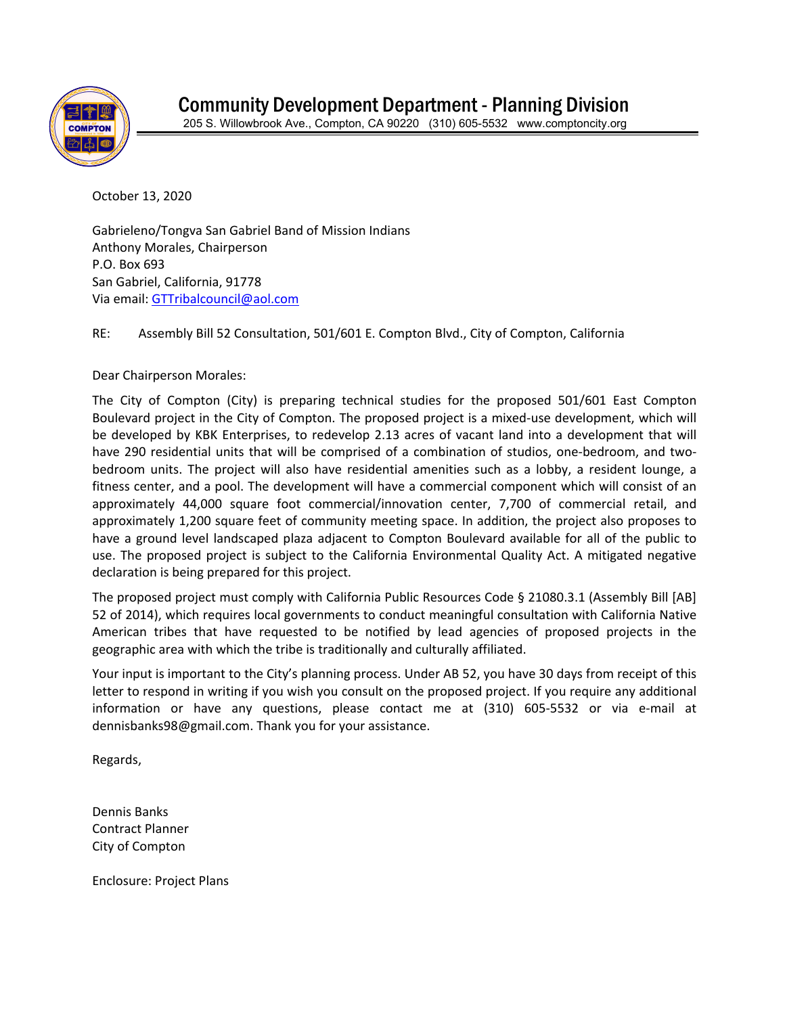

October 13, 2020

Gabrieleno/Tongva San Gabriel Band of Mission Indians Anthony Morales, Chairperson P.O. Box 693 San Gabriel, California, 91778 Via email: [GTTribalcouncil@aol.com](mailto:GTTribalcouncil@aol.com)

RE: Assembly Bill 52 Consultation, 501/601 E. Compton Blvd., City of Compton, California

## Dear Chairperson Morales:

The City of Compton (City) is preparing technical studies for the proposed 501/601 East Compton Boulevard project in the City of Compton. The proposed project is a mixed-use development, which will be developed by KBK Enterprises, to redevelop 2.13 acres of vacant land into a development that will have 290 residential units that will be comprised of a combination of studios, one-bedroom, and twobedroom units. The project will also have residential amenities such as a lobby, a resident lounge, a fitness center, and a pool. The development will have a commercial component which will consist of an approximately 44,000 square foot commercial/innovation center, 7,700 of commercial retail, and approximately 1,200 square feet of community meeting space. In addition, the project also proposes to have a ground level landscaped plaza adjacent to Compton Boulevard available for all of the public to use. The proposed project is subject to the California Environmental Quality Act. A mitigated negative declaration is being prepared for this project.

The proposed project must comply with California Public Resources Code § 21080.3.1 (Assembly Bill [AB] 52 of 2014), which requires local governments to conduct meaningful consultation with California Native American tribes that have requested to be notified by lead agencies of proposed projects in the geographic area with which the tribe is traditionally and culturally affiliated.

Your input is important to the City's planning process. Under AB 52, you have 30 days from receipt of this letter to respond in writing if you wish you consult on the proposed project. If you require any additional information or have any questions, please contact me at (310) 605-5532 or via e-mail at dennisbanks98@gmail.com. Thank you for your assistance.

Regards,

Dennis Banks Contract Planner City of Compton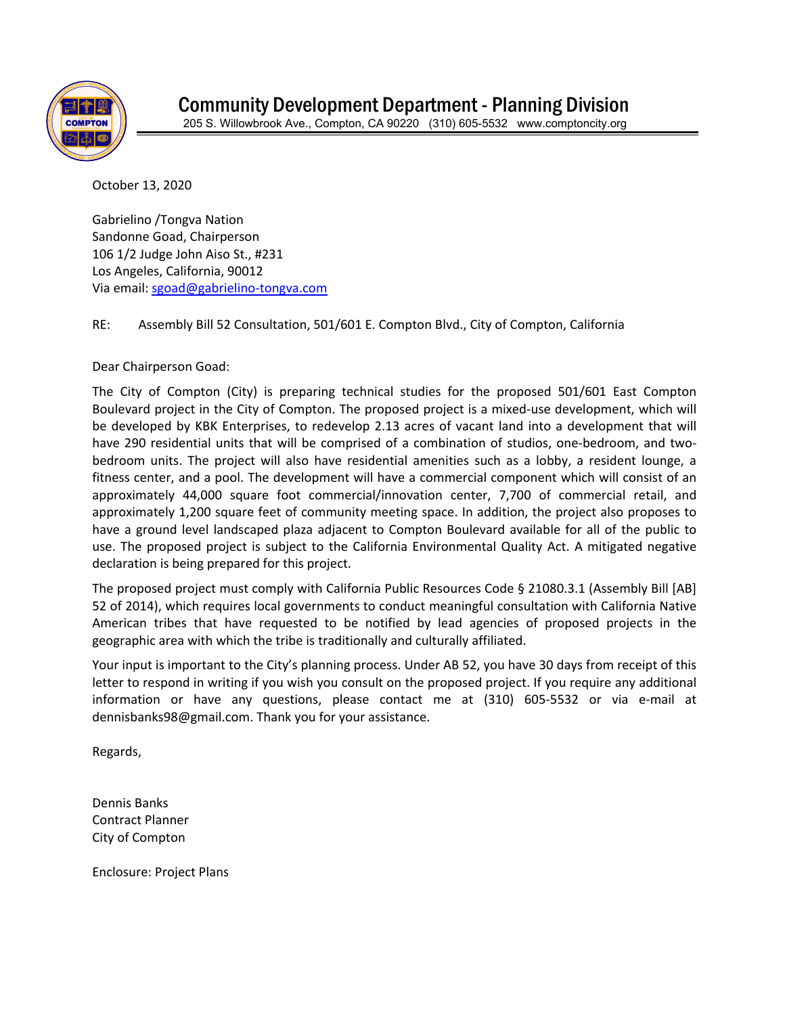

October 13, 2020

Gabrielino /Tongva Nation Sandonne Goad, Chairperson 106 1/2 Judge John Aiso St., #231 Los Angeles, California, 90012 Via email: [sgoad@gabrielino-tongva.com](mailto:sgoad@gabrielino-tongva.com)

RE: Assembly Bill 52 Consultation, 501/601 E. Compton Blvd., City of Compton, California

Dear Chairperson Goad:

The City of Compton (City) is preparing technical studies for the proposed 501/601 East Compton Boulevard project in the City of Compton. The proposed project is a mixed-use development, which will be developed by KBK Enterprises, to redevelop 2.13 acres of vacant land into a development that will have 290 residential units that will be comprised of a combination of studios, one-bedroom, and twobedroom units. The project will also have residential amenities such as a lobby, a resident lounge, a fitness center, and a pool. The development will have a commercial component which will consist of an approximately 44,000 square foot commercial/innovation center, 7,700 of commercial retail, and approximately 1,200 square feet of community meeting space. In addition, the project also proposes to have a ground level landscaped plaza adjacent to Compton Boulevard available for all of the public to use. The proposed project is subject to the California Environmental Quality Act. A mitigated negative declaration is being prepared for this project.

The proposed project must comply with California Public Resources Code § 21080.3.1 (Assembly Bill [AB] 52 of 2014), which requires local governments to conduct meaningful consultation with California Native American tribes that have requested to be notified by lead agencies of proposed projects in the geographic area with which the tribe is traditionally and culturally affiliated.

Your input is important to the City's planning process. Under AB 52, you have 30 days from receipt of this letter to respond in writing if you wish you consult on the proposed project. If you require any additional information or have any questions, please contact me at (310) 605-5532 or via e-mail at dennisbanks98@gmail.com. Thank you for your assistance.

Regards,

Dennis Banks Contract Planner City of Compton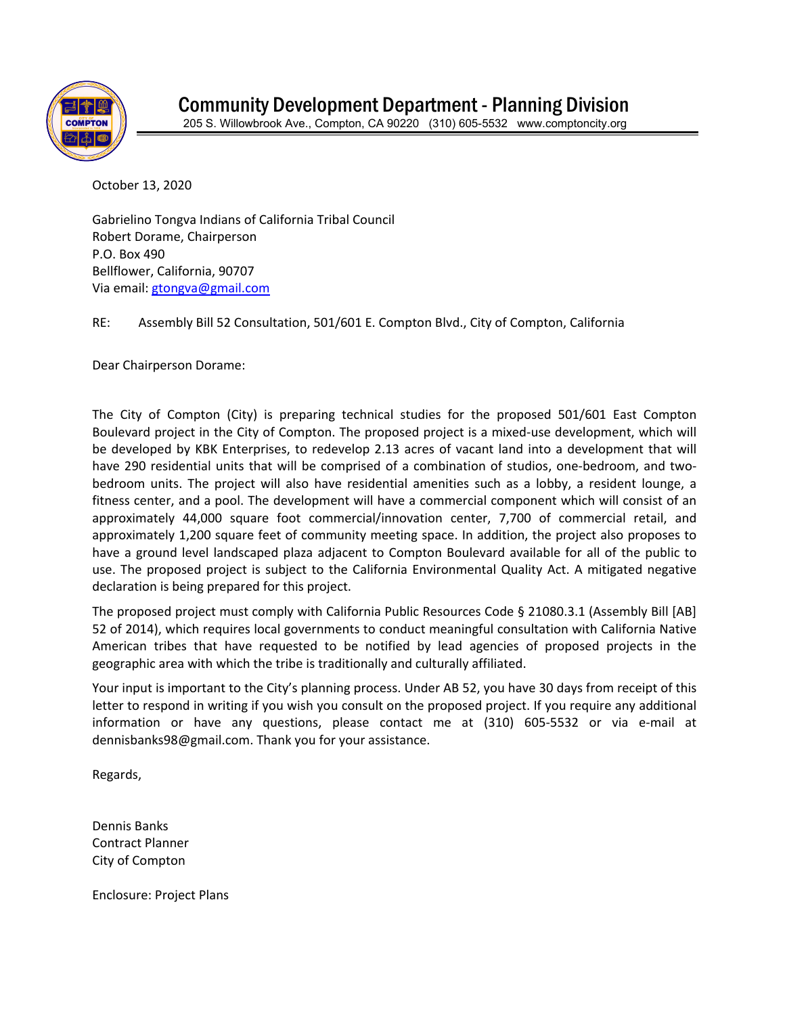

October 13, 2020

Gabrielino Tongva Indians of California Tribal Council Robert Dorame, Chairperson P.O. Box 490 Bellflower, California, 90707 Via email: [gtongva@gmail.com](mailto:gtongva@gmail.com)

RE: Assembly Bill 52 Consultation, 501/601 E. Compton Blvd., City of Compton, California

Dear Chairperson Dorame:

The City of Compton (City) is preparing technical studies for the proposed 501/601 East Compton Boulevard project in the City of Compton. The proposed project is a mixed-use development, which will be developed by KBK Enterprises, to redevelop 2.13 acres of vacant land into a development that will have 290 residential units that will be comprised of a combination of studios, one-bedroom, and twobedroom units. The project will also have residential amenities such as a lobby, a resident lounge, a fitness center, and a pool. The development will have a commercial component which will consist of an approximately 44,000 square foot commercial/innovation center, 7,700 of commercial retail, and approximately 1,200 square feet of community meeting space. In addition, the project also proposes to have a ground level landscaped plaza adjacent to Compton Boulevard available for all of the public to use. The proposed project is subject to the California Environmental Quality Act. A mitigated negative declaration is being prepared for this project.

The proposed project must comply with California Public Resources Code § 21080.3.1 (Assembly Bill [AB] 52 of 2014), which requires local governments to conduct meaningful consultation with California Native American tribes that have requested to be notified by lead agencies of proposed projects in the geographic area with which the tribe is traditionally and culturally affiliated.

Your input is important to the City's planning process. Under AB 52, you have 30 days from receipt of this letter to respond in writing if you wish you consult on the proposed project. If you require any additional information or have any questions, please contact me at (310) 605-5532 or via e-mail at dennisbanks98@gmail.com. Thank you for your assistance.

Regards,

Dennis Banks Contract Planner City of Compton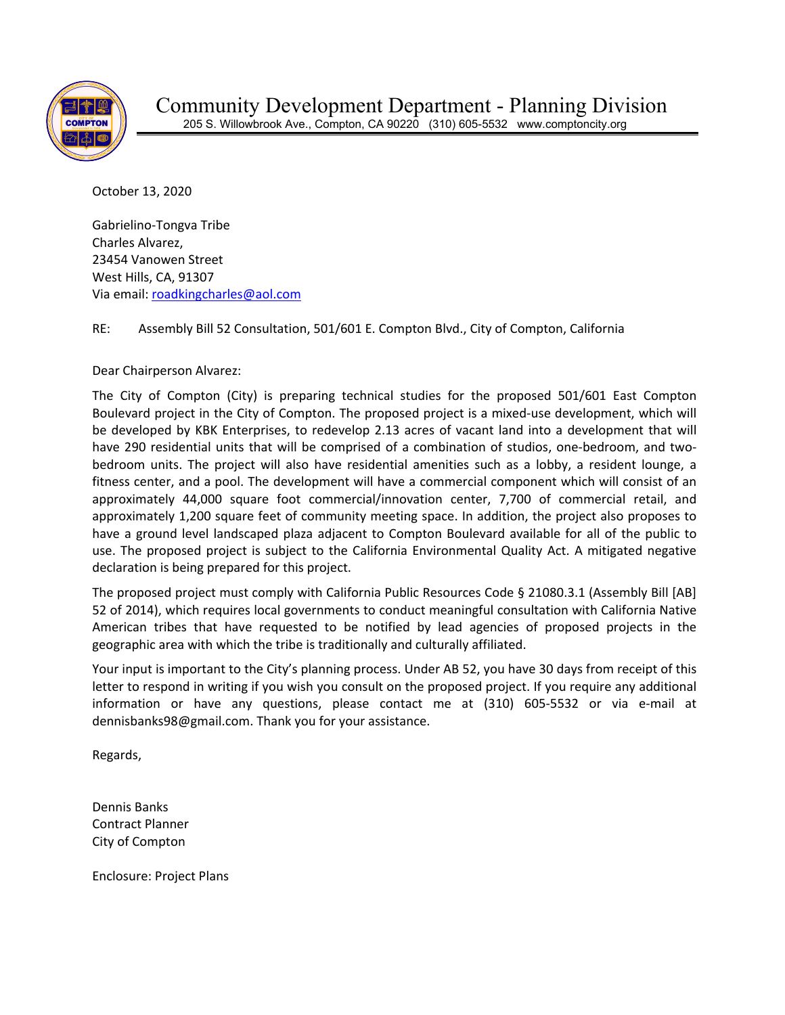

October 13, 2020

Gabrielino-Tongva Tribe Charles Alvarez, 23454 Vanowen Street West Hills, CA, 91307 Via email: [roadkingcharles@aol.com](mailto:roadkingcharles@aol.com)

RE: Assembly Bill 52 Consultation, 501/601 E. Compton Blvd., City of Compton, California

Dear Chairperson Alvarez:

The City of Compton (City) is preparing technical studies for the proposed 501/601 East Compton Boulevard project in the City of Compton. The proposed project is a mixed-use development, which will be developed by KBK Enterprises, to redevelop 2.13 acres of vacant land into a development that will have 290 residential units that will be comprised of a combination of studios, one-bedroom, and twobedroom units. The project will also have residential amenities such as a lobby, a resident lounge, a fitness center, and a pool. The development will have a commercial component which will consist of an approximately 44,000 square foot commercial/innovation center, 7,700 of commercial retail, and approximately 1,200 square feet of community meeting space. In addition, the project also proposes to have a ground level landscaped plaza adjacent to Compton Boulevard available for all of the public to use. The proposed project is subject to the California Environmental Quality Act. A mitigated negative declaration is being prepared for this project.

The proposed project must comply with California Public Resources Code § 21080.3.1 (Assembly Bill [AB] 52 of 2014), which requires local governments to conduct meaningful consultation with California Native American tribes that have requested to be notified by lead agencies of proposed projects in the geographic area with which the tribe is traditionally and culturally affiliated.

Your input is important to the City's planning process. Under AB 52, you have 30 days from receipt of this letter to respond in writing if you wish you consult on the proposed project. If you require any additional information or have any questions, please contact me at (310) 605-5532 or via e-mail at dennisbanks98@gmail.com. Thank you for your assistance.

Regards,

Dennis Banks Contract Planner City of Compton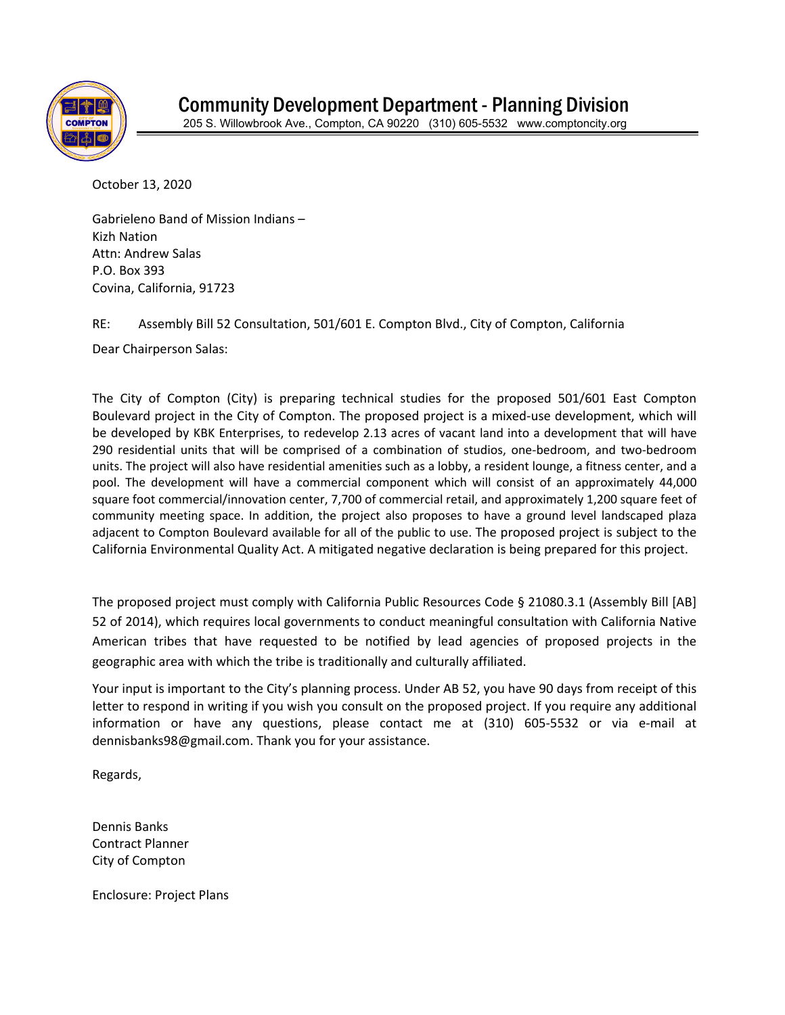

October 13, 2020

Gabrieleno Band of Mission Indians – Kizh Nation Attn: Andrew Salas P.O. Box 393 Covina, California, 91723

RE: Assembly Bill 52 Consultation, 501/601 E. Compton Blvd., City of Compton, California

Dear Chairperson Salas:

The City of Compton (City) is preparing technical studies for the proposed 501/601 East Compton Boulevard project in the City of Compton. The proposed project is a mixed-use development, which will be developed by KBK Enterprises, to redevelop 2.13 acres of vacant land into a development that will have 290 residential units that will be comprised of a combination of studios, one-bedroom, and two-bedroom units. The project will also have residential amenities such as a lobby, a resident lounge, a fitness center, and a pool. The development will have a commercial component which will consist of an approximately 44,000 square foot commercial/innovation center, 7,700 of commercial retail, and approximately 1,200 square feet of community meeting space. In addition, the project also proposes to have a ground level landscaped plaza adjacent to Compton Boulevard available for all of the public to use. The proposed project is subject to the California Environmental Quality Act. A mitigated negative declaration is being prepared for this project.

The proposed project must comply with California Public Resources Code § 21080.3.1 (Assembly Bill [AB] 52 of 2014), which requires local governments to conduct meaningful consultation with California Native American tribes that have requested to be notified by lead agencies of proposed projects in the geographic area with which the tribe is traditionally and culturally affiliated.

Your input is important to the City's planning process. Under AB 52, you have 90 days from receipt of this letter to respond in writing if you wish you consult on the proposed project. If you require any additional information or have any questions, please contact me at (310) 605-5532 or via e-mail at dennisbanks98@gmail.com. Thank you for your assistance.

Regards,

Dennis Banks Contract Planner City of Compton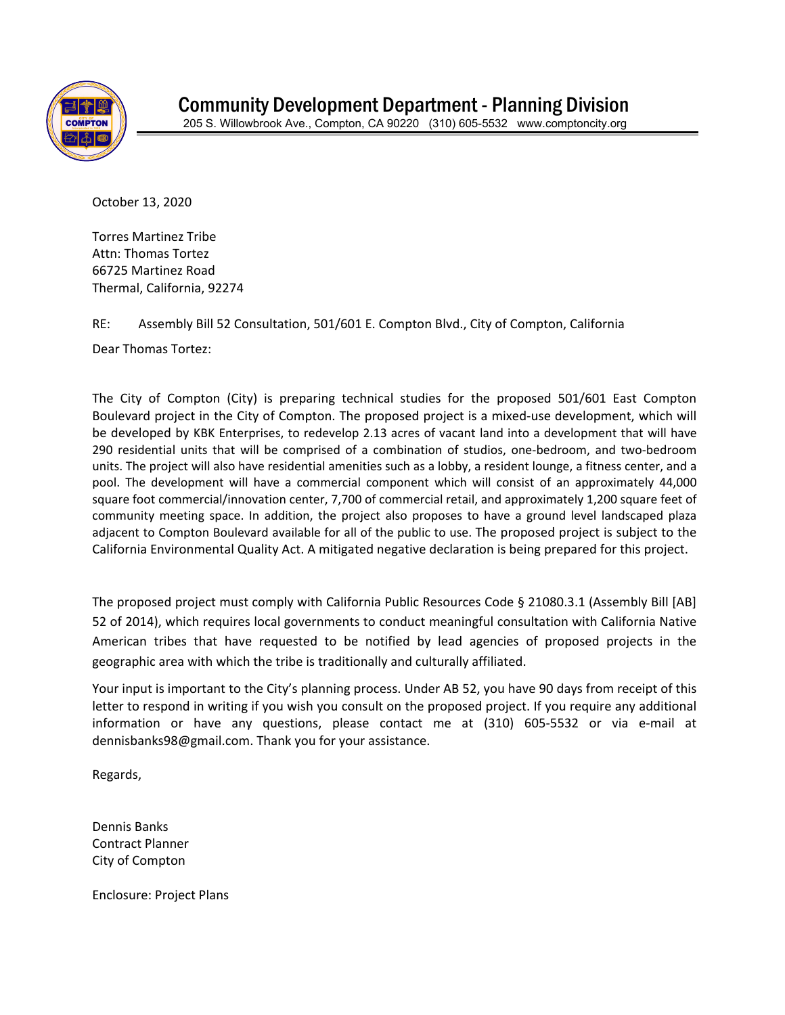

October 13, 2020

Torres Martinez Tribe Attn: Thomas Tortez 66725 Martinez Road Thermal, California, 92274

RE: Assembly Bill 52 Consultation, 501/601 E. Compton Blvd., City of Compton, California

Dear Thomas Tortez:

The City of Compton (City) is preparing technical studies for the proposed 501/601 East Compton Boulevard project in the City of Compton. The proposed project is a mixed-use development, which will be developed by KBK Enterprises, to redevelop 2.13 acres of vacant land into a development that will have 290 residential units that will be comprised of a combination of studios, one-bedroom, and two-bedroom units. The project will also have residential amenities such as a lobby, a resident lounge, a fitness center, and a pool. The development will have a commercial component which will consist of an approximately 44,000 square foot commercial/innovation center, 7,700 of commercial retail, and approximately 1,200 square feet of community meeting space. In addition, the project also proposes to have a ground level landscaped plaza adjacent to Compton Boulevard available for all of the public to use. The proposed project is subject to the California Environmental Quality Act. A mitigated negative declaration is being prepared for this project.

The proposed project must comply with California Public Resources Code § 21080.3.1 (Assembly Bill [AB] 52 of 2014), which requires local governments to conduct meaningful consultation with California Native American tribes that have requested to be notified by lead agencies of proposed projects in the geographic area with which the tribe is traditionally and culturally affiliated.

Your input is important to the City's planning process. Under AB 52, you have 90 days from receipt of this letter to respond in writing if you wish you consult on the proposed project. If you require any additional information or have any questions, please contact me at (310) 605-5532 or via e-mail at dennisbanks98@gmail.com. Thank you for your assistance.

Regards,

Dennis Banks Contract Planner City of Compton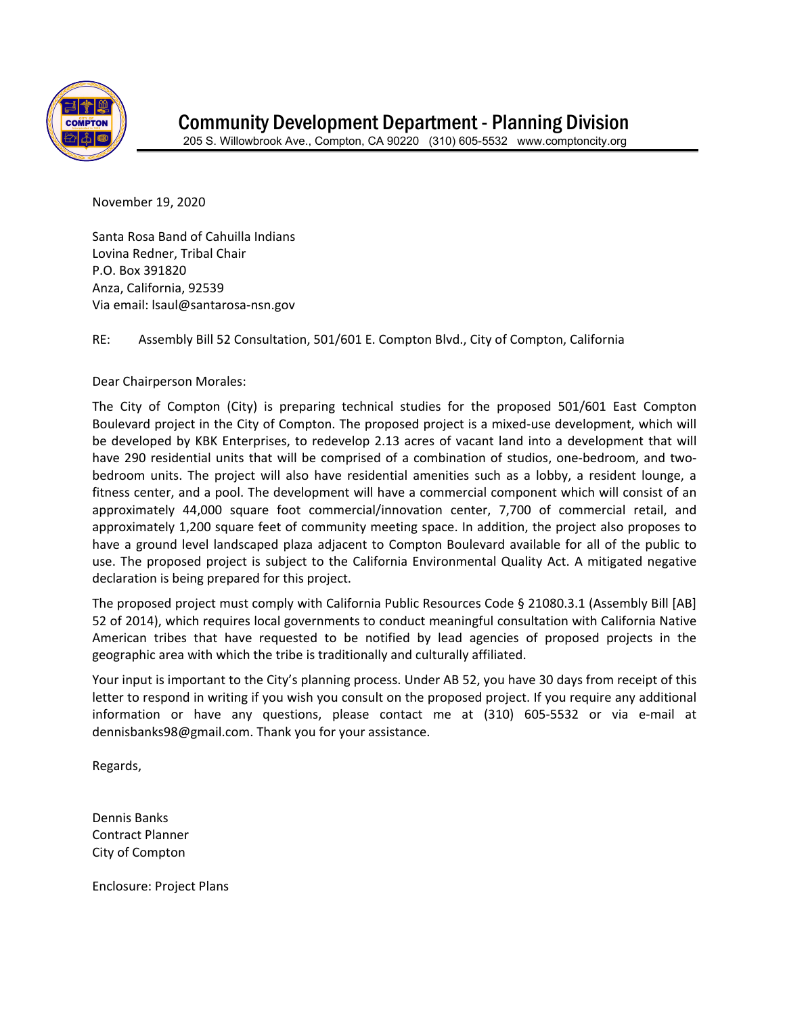

November 19, 2020

Santa Rosa Band of Cahuilla Indians Lovina Redner, Tribal Chair P.O. Box 391820 Anza, California, 92539 Via email: lsaul@santarosa-nsn.gov

RE: Assembly Bill 52 Consultation, 501/601 E. Compton Blvd., City of Compton, California

Dear Chairperson Morales:

The City of Compton (City) is preparing technical studies for the proposed 501/601 East Compton Boulevard project in the City of Compton. The proposed project is a mixed-use development, which will be developed by KBK Enterprises, to redevelop 2.13 acres of vacant land into a development that will have 290 residential units that will be comprised of a combination of studios, one-bedroom, and twobedroom units. The project will also have residential amenities such as a lobby, a resident lounge, a fitness center, and a pool. The development will have a commercial component which will consist of an approximately 44,000 square foot commercial/innovation center, 7,700 of commercial retail, and approximately 1,200 square feet of community meeting space. In addition, the project also proposes to have a ground level landscaped plaza adjacent to Compton Boulevard available for all of the public to use. The proposed project is subject to the California Environmental Quality Act. A mitigated negative declaration is being prepared for this project.

The proposed project must comply with California Public Resources Code § 21080.3.1 (Assembly Bill [AB] 52 of 2014), which requires local governments to conduct meaningful consultation with California Native American tribes that have requested to be notified by lead agencies of proposed projects in the geographic area with which the tribe is traditionally and culturally affiliated.

Your input is important to the City's planning process. Under AB 52, you have 30 days from receipt of this letter to respond in writing if you wish you consult on the proposed project. If you require any additional information or have any questions, please contact me at (310) 605-5532 or via e-mail at dennisbanks98@gmail.com. Thank you for your assistance.

Regards,

Dennis Banks Contract Planner City of Compton